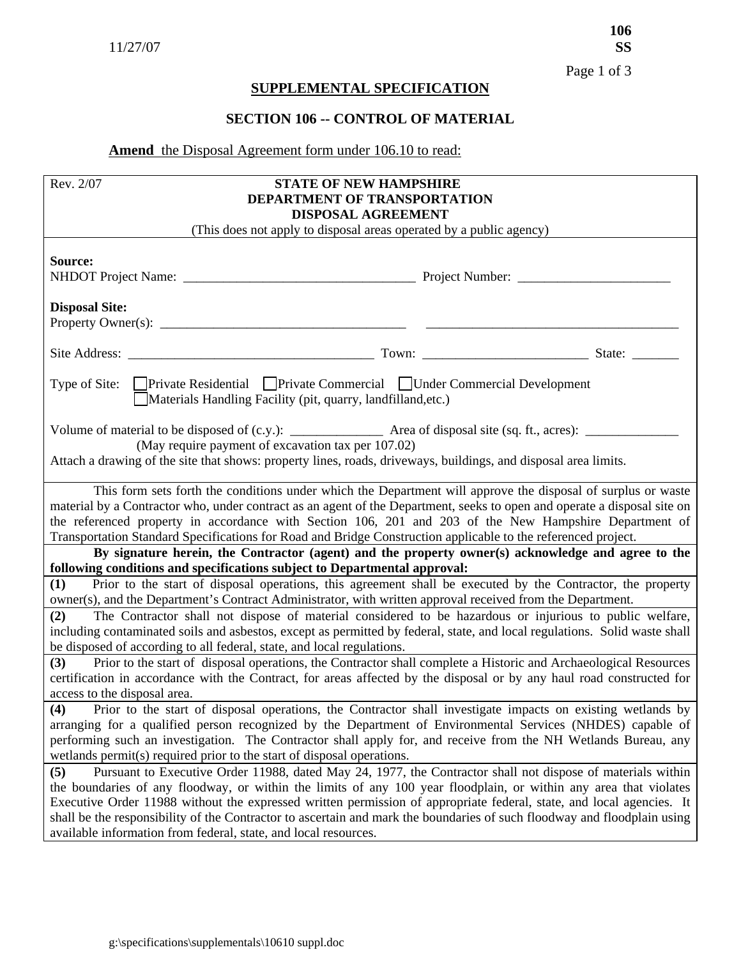## **SUPPLEMENTAL SPECIFICATION**

## **SECTION 106 -- CONTROL OF MATERIAL**

## **Amend** the Disposal Agreement form under 106.10 to read:

| Rev. 2/07<br><b>STATE OF NEW HAMPSHIRE</b><br>DEPARTMENT OF TRANSPORTATION<br>DISPOSAL AGREEMENT                                                                                                                                                                                                                                                                                                                                                                                                                                                               |  |  |  |  |  |
|----------------------------------------------------------------------------------------------------------------------------------------------------------------------------------------------------------------------------------------------------------------------------------------------------------------------------------------------------------------------------------------------------------------------------------------------------------------------------------------------------------------------------------------------------------------|--|--|--|--|--|
| (This does not apply to disposal areas operated by a public agency)                                                                                                                                                                                                                                                                                                                                                                                                                                                                                            |  |  |  |  |  |
| Source:                                                                                                                                                                                                                                                                                                                                                                                                                                                                                                                                                        |  |  |  |  |  |
| <b>Disposal Site:</b>                                                                                                                                                                                                                                                                                                                                                                                                                                                                                                                                          |  |  |  |  |  |
|                                                                                                                                                                                                                                                                                                                                                                                                                                                                                                                                                                |  |  |  |  |  |
| Type of Site: Private Residential Private Commercial Under Commercial Development<br>Materials Handling Facility (pit, quarry, landfilland, etc.)                                                                                                                                                                                                                                                                                                                                                                                                              |  |  |  |  |  |
| (May require payment of excavation tax per 107.02)<br>Attach a drawing of the site that shows: property lines, roads, driveways, buildings, and disposal area limits.                                                                                                                                                                                                                                                                                                                                                                                          |  |  |  |  |  |
| This form sets forth the conditions under which the Department will approve the disposal of surplus or waste<br>material by a Contractor who, under contract as an agent of the Department, seeks to open and operate a disposal site on<br>the referenced property in accordance with Section 106, 201 and 203 of the New Hampshire Department of<br>Transportation Standard Specifications for Road and Bridge Construction applicable to the referenced project.                                                                                            |  |  |  |  |  |
| By signature herein, the Contractor (agent) and the property owner(s) acknowledge and agree to the<br>following conditions and specifications subject to Departmental approval:                                                                                                                                                                                                                                                                                                                                                                                |  |  |  |  |  |
| Prior to the start of disposal operations, this agreement shall be executed by the Contractor, the property<br>(1)<br>owner(s), and the Department's Contract Administrator, with written approval received from the Department.                                                                                                                                                                                                                                                                                                                               |  |  |  |  |  |
| The Contractor shall not dispose of material considered to be hazardous or injurious to public welfare,<br>(2)<br>including contaminated soils and asbestos, except as permitted by federal, state, and local regulations. Solid waste shall<br>be disposed of according to all federal, state, and local regulations.                                                                                                                                                                                                                                         |  |  |  |  |  |
| Prior to the start of disposal operations, the Contractor shall complete a Historic and Archaeological Resources<br>(3)<br>certification in accordance with the Contract, for areas affected by the disposal or by any haul road constructed for<br>access to the disposal area.                                                                                                                                                                                                                                                                               |  |  |  |  |  |
| Prior to the start of disposal operations, the Contractor shall investigate impacts on existing wetlands by<br>(4)<br>arranging for a qualified person recognized by the Department of Environmental Services (NHDES) capable of<br>performing such an investigation. The Contractor shall apply for, and receive from the NH Wetlands Bureau, any<br>wetlands permit(s) required prior to the start of disposal operations.                                                                                                                                   |  |  |  |  |  |
| Pursuant to Executive Order 11988, dated May 24, 1977, the Contractor shall not dispose of materials within<br>(5)<br>the boundaries of any floodway, or within the limits of any 100 year floodplain, or within any area that violates<br>Executive Order 11988 without the expressed written permission of appropriate federal, state, and local agencies. It<br>shall be the responsibility of the Contractor to ascertain and mark the boundaries of such floodway and floodplain using<br>available information from federal, state, and local resources. |  |  |  |  |  |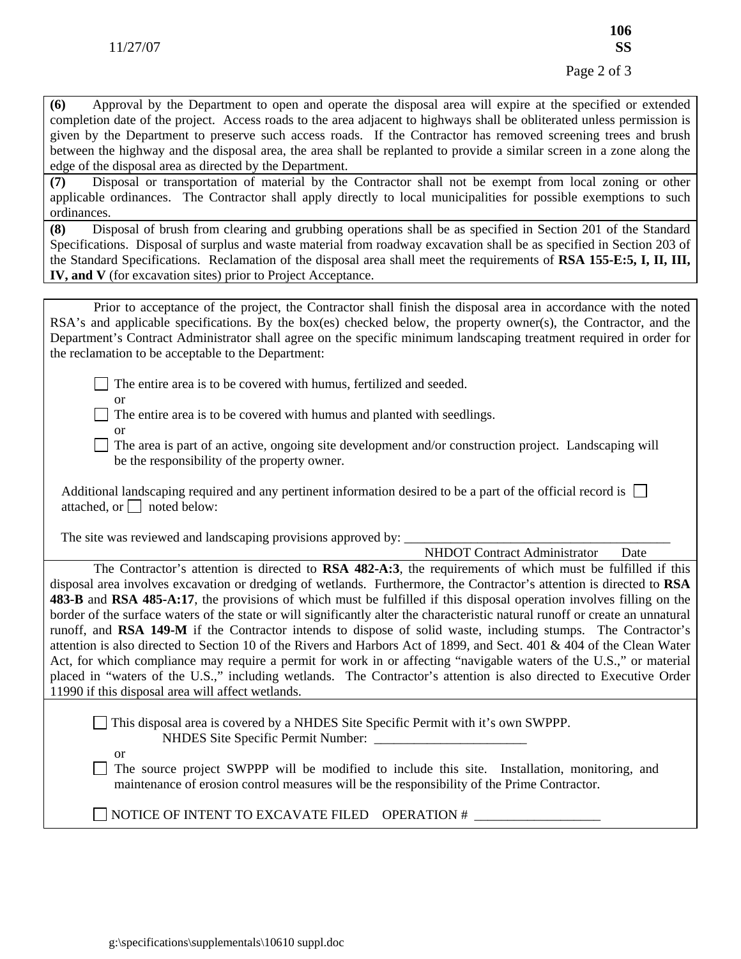**(6)** Approval by the Department to open and operate the disposal area will expire at the specified or extended completion date of the project. Access roads to the area adjacent to highways shall be obliterated unless permission is given by the Department to preserve such access roads. If the Contractor has removed screening trees and brush between the highway and the disposal area, the area shall be replanted to provide a similar screen in a zone along the edge of the disposal area as directed by the Department.

**(7)** Disposal or transportation of material by the Contractor shall not be exempt from local zoning or other applicable ordinances. The Contractor shall apply directly to local municipalities for possible exemptions to such ordinances.

**(8)** Disposal of brush from clearing and grubbing operations shall be as specified in Section 201 of the Standard Specifications. Disposal of surplus and waste material from roadway excavation shall be as specified in Section 203 of the Standard Specifications. Reclamation of the disposal area shall meet the requirements of **RSA 155-E:5, I, II, III, IV, and V** (for excavation sites) prior to Project Acceptance.

 Prior to acceptance of the project, the Contractor shall finish the disposal area in accordance with the noted RSA's and applicable specifications. By the box(es) checked below, the property owner(s), the Contractor, and the Department's Contract Administrator shall agree on the specific minimum landscaping treatment required in order for the reclamation to be acceptable to the Department:

The entire area is to be covered with humus, fertilized and seeded.

or

 $\Box$  The entire area is to be covered with humus and planted with seedlings.

or

 The area is part of an active, ongoing site development and/or construction project. Landscaping will be the responsibility of the property owner.

Additional landscaping required and any pertinent information desired to be a part of the official record is attached, or  $\Box$  noted below:

The site was reviewed and landscaping provisions approved by:

NHDOT Contract Administrator Date

 The Contractor's attention is directed to **RSA 482-A:3**, the requirements of which must be fulfilled if this disposal area involves excavation or dredging of wetlands. Furthermore, the Contractor's attention is directed to **RSA 483-B** and **RSA 485-A:17**, the provisions of which must be fulfilled if this disposal operation involves filling on the border of the surface waters of the state or will significantly alter the characteristic natural runoff or create an unnatural runoff, and **RSA 149-M** if the Contractor intends to dispose of solid waste, including stumps. The Contractor's attention is also directed to Section 10 of the Rivers and Harbors Act of 1899, and Sect. 401 & 404 of the Clean Water Act, for which compliance may require a permit for work in or affecting "navigable waters of the U.S.," or material placed in "waters of the U.S.," including wetlands. The Contractor's attention is also directed to Executive Order 11990 if this disposal area will affect wetlands.

 This disposal area is covered by a NHDES Site Specific Permit with it's own SWPPP. NHDES Site Specific Permit Number:

or

 $\Box$  The source project SWPPP will be modified to include this site. Installation, monitoring, and maintenance of erosion control measures will be the responsibility of the Prime Contractor.

 $\Box$  NOTICE OF INTENT TO EXCAVATE FILED OPERATION #